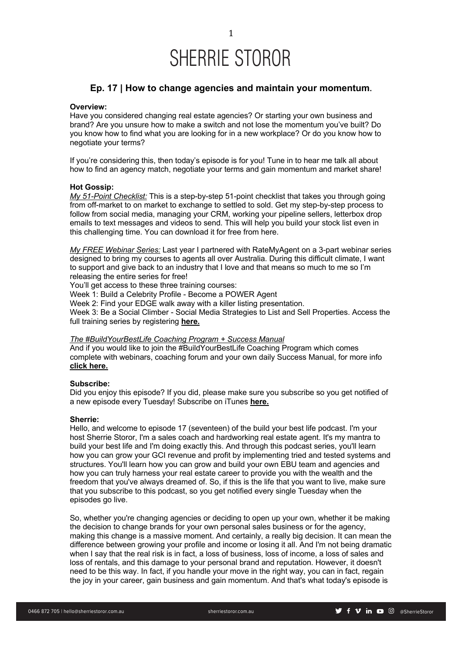### SHERRIE STOROR

### **Ep. 17 | How to change agencies and maintain your momentum.**

#### **Overview:**

Have you considered changing real estate agencies? Or starting your own business and brand? Are you unsure how to make a switch and not lose the momentum you've built? Do you know how to find what you are looking for in a new workplace? Or do you know how to negotiate your terms?

If you're considering this, then today's episode is for you! Tune in to hear me talk all about how to find an agency match, negotiate your terms and gain momentum and market share!

#### **Hot Gossip:**

*My 51-Point Checklist:* This is a step-by-step 51-point checklist that takes you through going from off-market to on market to exchange to settled to sold. Get my step-by-step process to follow from social media, managing your CRM, working your pipeline sellers, letterbox drop emails to text messages and videos to send. This will help you build your stock list even in this challenging time. You can download it for free from here.

*My FREE Webinar Series:* Last year I partnered with RateMyAgent on a 3-part webinar series designed to bring my courses to agents all over Australia. During this difficult climate, I want to support and give back to an industry that I love and that means so much to me so I'm releasing the entire series for free!

You'll get access to these three training courses:

Week 1: Build a Celebrity Profile - Become a POWER Agent

Week 2: Find your EDGE walk away with a killer listing presentation.

Week 3: Be a Social Climber - Social Media Strategies to List and Sell Properties. Access the full training series by registering **here.**

### *The #BuildYourBestLife Coaching Program + Success Manual*

And if you would like to join the #BuildYourBestLife Coaching Program which comes complete with webinars, coaching forum and your own daily Success Manual, for more info **click here.**

#### **Subscribe:**

Did you enjoy this episode? If you did, please make sure you subscribe so you get notified of a new episode every Tuesday! Subscribe on iTunes **here.**

#### **Sherrie:**

Hello, and welcome to episode 17 (seventeen) of the build your best life podcast. I'm your host Sherrie Storor, I'm a sales coach and hardworking real estate agent. It's my mantra to build your best life and I'm doing exactly this. And through this podcast series, you'll learn how you can grow your GCI revenue and profit by implementing tried and tested systems and structures. You'll learn how you can grow and build your own EBU team and agencies and how you can truly harness your real estate career to provide you with the wealth and the freedom that you've always dreamed of. So, if this is the life that you want to live, make sure that you subscribe to this podcast, so you get notified every single Tuesday when the episodes go live.

So, whether you're changing agencies or deciding to open up your own, whether it be making the decision to change brands for your own personal sales business or for the agency, making this change is a massive moment. And certainly, a really big decision. It can mean the difference between growing your profile and income or losing it all. And I'm not being dramatic when I say that the real risk is in fact, a loss of business, loss of income, a loss of sales and loss of rentals, and this damage to your personal brand and reputation. However, it doesn't need to be this way. In fact, if you handle your move in the right way, you can in fact, regain the joy in your career, gain business and gain momentum. And that's what today's episode is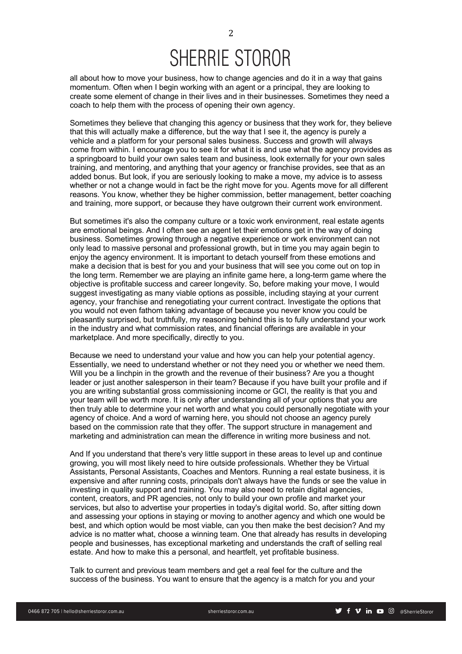# SHERRIE STOROR

all about how to move your business, how to change agencies and do it in a way that gains momentum. Often when I begin working with an agent or a principal, they are looking to create some element of change in their lives and in their businesses. Sometimes they need a coach to help them with the process of opening their own agency.

Sometimes they believe that changing this agency or business that they work for, they believe that this will actually make a difference, but the way that I see it, the agency is purely a vehicle and a platform for your personal sales business. Success and growth will always come from within. I encourage you to see it for what it is and use what the agency provides as a springboard to build your own sales team and business, look externally for your own sales training, and mentoring, and anything that your agency or franchise provides, see that as an added bonus. But look, if you are seriously looking to make a move, my advice is to assess whether or not a change would in fact be the right move for you. Agents move for all different reasons. You know, whether they be higher commission, better management, better coaching and training, more support, or because they have outgrown their current work environment.

But sometimes it's also the company culture or a toxic work environment, real estate agents are emotional beings. And I often see an agent let their emotions get in the way of doing business. Sometimes growing through a negative experience or work environment can not only lead to massive personal and professional growth, but in time you may again begin to enjoy the agency environment. It is important to detach yourself from these emotions and make a decision that is best for you and your business that will see you come out on top in the long term. Remember we are playing an infinite game here, a long-term game where the objective is profitable success and career longevity. So, before making your move, I would suggest investigating as many viable options as possible, including staying at your current agency, your franchise and renegotiating your current contract. Investigate the options that you would not even fathom taking advantage of because you never know you could be pleasantly surprised, but truthfully, my reasoning behind this is to fully understand your work in the industry and what commission rates, and financial offerings are available in your marketplace. And more specifically, directly to you.

Because we need to understand your value and how you can help your potential agency. Essentially, we need to understand whether or not they need you or whether we need them. Will you be a linchpin in the growth and the revenue of their business? Are you a thought leader or just another salesperson in their team? Because if you have built your profile and if you are writing substantial gross commissioning income or GCI, the reality is that you and your team will be worth more. It is only after understanding all of your options that you are then truly able to determine your net worth and what you could personally negotiate with your agency of choice. And a word of warning here, you should not choose an agency purely based on the commission rate that they offer. The support structure in management and marketing and administration can mean the difference in writing more business and not.

And If you understand that there's very little support in these areas to level up and continue growing, you will most likely need to hire outside professionals. Whether they be Virtual Assistants, Personal Assistants, Coaches and Mentors. Running a real estate business, it is expensive and after running costs, principals don't always have the funds or see the value in investing in quality support and training. You may also need to retain digital agencies, content, creators, and PR agencies, not only to build your own profile and market your services, but also to advertise your properties in today's digital world. So, after sitting down and assessing your options in staying or moving to another agency and which one would be best, and which option would be most viable, can you then make the best decision? And my advice is no matter what, choose a winning team. One that already has results in developing people and businesses, has exceptional marketing and understands the craft of selling real estate. And how to make this a personal, and heartfelt, yet profitable business.

Talk to current and previous team members and get a real feel for the culture and the success of the business. You want to ensure that the agency is a match for you and your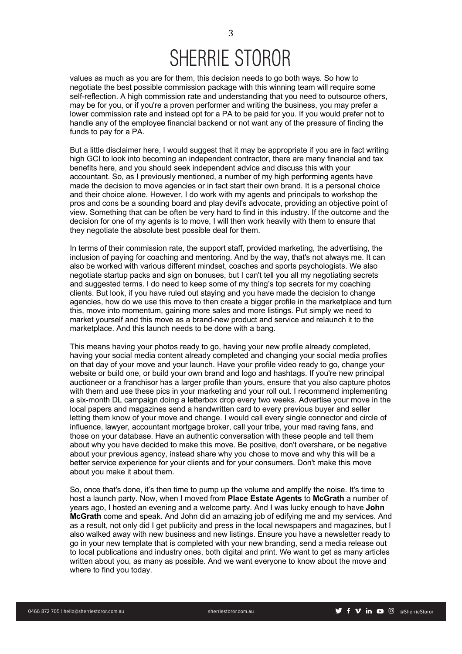## SHERRIE STOROR

values as much as you are for them, this decision needs to go both ways. So how to negotiate the best possible commission package with this winning team will require some self-reflection. A high commission rate and understanding that you need to outsource others, may be for you, or if you're a proven performer and writing the business, you may prefer a lower commission rate and instead opt for a PA to be paid for you. If you would prefer not to handle any of the employee financial backend or not want any of the pressure of finding the funds to pay for a PA.

But a little disclaimer here, I would suggest that it may be appropriate if you are in fact writing high GCI to look into becoming an independent contractor, there are many financial and tax benefits here, and you should seek independent advice and discuss this with your accountant. So, as I previously mentioned, a number of my high performing agents have made the decision to move agencies or in fact start their own brand. It is a personal choice and their choice alone. However, I do work with my agents and principals to workshop the pros and cons be a sounding board and play devil's advocate, providing an objective point of view. Something that can be often be very hard to find in this industry. If the outcome and the decision for one of my agents is to move, I will then work heavily with them to ensure that they negotiate the absolute best possible deal for them.

In terms of their commission rate, the support staff, provided marketing, the advertising, the inclusion of paying for coaching and mentoring. And by the way, that's not always me. It can also be worked with various different mindset, coaches and sports psychologists. We also negotiate startup packs and sign on bonuses, but I can't tell you all my negotiating secrets and suggested terms. I do need to keep some of my thing's top secrets for my coaching clients. But look, if you have ruled out staying and you have made the decision to change agencies, how do we use this move to then create a bigger profile in the marketplace and turn this, move into momentum, gaining more sales and more listings. Put simply we need to market yourself and this move as a brand-new product and service and relaunch it to the marketplace. And this launch needs to be done with a bang.

This means having your photos ready to go, having your new profile already completed, having your social media content already completed and changing your social media profiles on that day of your move and your launch. Have your profile video ready to go, change your website or build one, or build your own brand and logo and hashtags. If you're new principal auctioneer or a franchisor has a larger profile than yours, ensure that you also capture photos with them and use these pics in your marketing and your roll out. I recommend implementing a six-month DL campaign doing a letterbox drop every two weeks. Advertise your move in the local papers and magazines send a handwritten card to every previous buyer and seller letting them know of your move and change. I would call every single connector and circle of influence, lawyer, accountant mortgage broker, call your tribe, your mad raving fans, and those on your database. Have an authentic conversation with these people and tell them about why you have decided to make this move. Be positive, don't overshare, or be negative about your previous agency, instead share why you chose to move and why this will be a better service experience for your clients and for your consumers. Don't make this move about you make it about them.

So, once that's done, it's then time to pump up the volume and amplify the noise. It's time to host a launch party. Now, when I moved from **Place Estate Agents** to **McGrath** a number of years ago, I hosted an evening and a welcome party. And I was lucky enough to have **John McGrath** come and speak. And John did an amazing job of edifying me and my services. And as a result, not only did I get publicity and press in the local newspapers and magazines, but I also walked away with new business and new listings. Ensure you have a newsletter ready to go in your new template that is completed with your new branding, send a media release out to local publications and industry ones, both digital and print. We want to get as many articles written about you, as many as possible. And we want everyone to know about the move and where to find you today.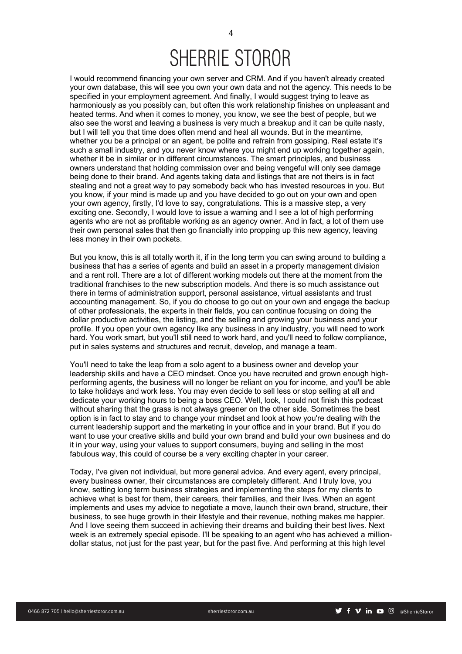I would recommend financing your own server and CRM. And if you haven't already created your own database, this will see you own your own data and not the agency. This needs to be specified in your employment agreement. And finally, I would suggest trying to leave as harmoniously as you possibly can, but often this work relationship finishes on unpleasant and heated terms. And when it comes to money, you know, we see the best of people, but we also see the worst and leaving a business is very much a breakup and it can be quite nasty, but I will tell you that time does often mend and heal all wounds. But in the meantime, whether you be a principal or an agent, be polite and refrain from gossiping. Real estate it's such a small industry, and you never know where you might end up working together again, whether it be in similar or in different circumstances. The smart principles, and business owners understand that holding commission over and being vengeful will only see damage being done to their brand. And agents taking data and listings that are not theirs is in fact stealing and not a great way to pay somebody back who has invested resources in you. But you know, if your mind is made up and you have decided to go out on your own and open your own agency, firstly, I'd love to say, congratulations. This is a massive step, a very exciting one. Secondly, I would love to issue a warning and I see a lot of high performing agents who are not as profitable working as an agency owner. And in fact, a lot of them use their own personal sales that then go financially into propping up this new agency, leaving less money in their own pockets.

But you know, this is all totally worth it, if in the long term you can swing around to building a business that has a series of agents and build an asset in a property management division and a rent roll. There are a lot of different working models out there at the moment from the traditional franchises to the new subscription models. And there is so much assistance out there in terms of administration support, personal assistance, virtual assistants and trust accounting management. So, if you do choose to go out on your own and engage the backup of other professionals, the experts in their fields, you can continue focusing on doing the dollar productive activities, the listing, and the selling and growing your business and your profile. If you open your own agency like any business in any industry, you will need to work hard. You work smart, but you'll still need to work hard, and you'll need to follow compliance, put in sales systems and structures and recruit, develop, and manage a team.

You'll need to take the leap from a solo agent to a business owner and develop your leadership skills and have a CEO mindset. Once you have recruited and grown enough highperforming agents, the business will no longer be reliant on you for income, and you'll be able to take holidays and work less. You may even decide to sell less or stop selling at all and dedicate your working hours to being a boss CEO. Well, look, I could not finish this podcast without sharing that the grass is not always greener on the other side. Sometimes the best option is in fact to stay and to change your mindset and look at how you're dealing with the current leadership support and the marketing in your office and in your brand. But if you do want to use your creative skills and build your own brand and build your own business and do it in your way, using your values to support consumers, buying and selling in the most fabulous way, this could of course be a very exciting chapter in your career.

Today, I've given not individual, but more general advice. And every agent, every principal, every business owner, their circumstances are completely different. And I truly love, you know, setting long term business strategies and implementing the steps for my clients to achieve what is best for them, their careers, their families, and their lives. When an agent implements and uses my advice to negotiate a move, launch their own brand, structure, their business, to see huge growth in their lifestyle and their revenue, nothing makes me happier. And I love seeing them succeed in achieving their dreams and building their best lives. Next week is an extremely special episode. I'll be speaking to an agent who has achieved a milliondollar status, not just for the past year, but for the past five. And performing at this high level